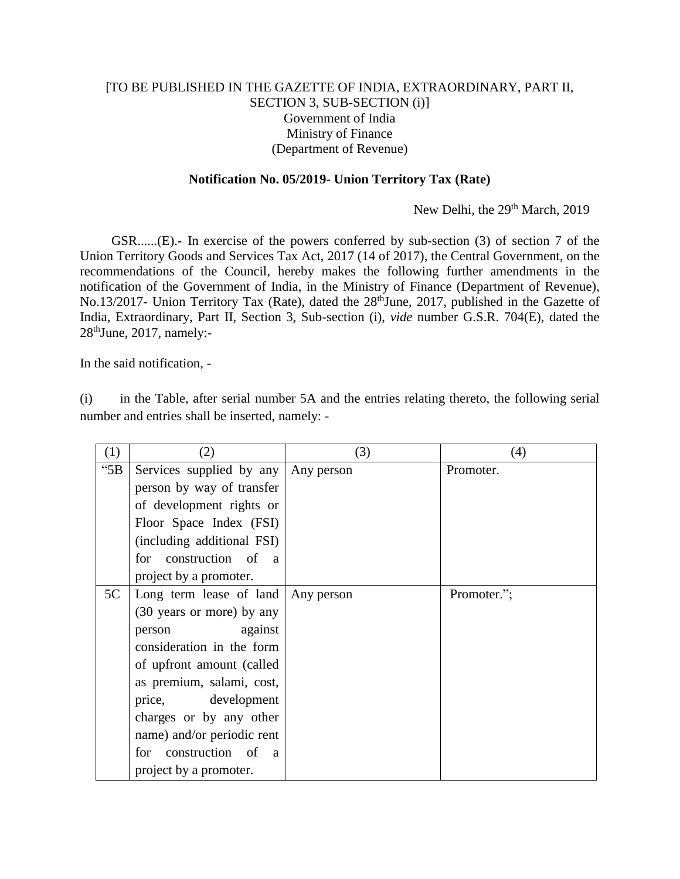## [TO BE PUBLISHED IN THE GAZETTE OF INDIA, EXTRAORDINARY, PART II, SECTION 3, SUB-SECTION (i)] Government of India Ministry of Finance (Department of Revenue)

## **Notification No. 05/2019- Union Territory Tax (Rate)**

New Delhi, the 29<sup>th</sup> March, 2019

GSR......(E).**-** In exercise of the powers conferred by sub-section (3) of section 7 of the Union Territory Goods and Services Tax Act, 2017 (14 of 2017), the Central Government, on the recommendations of the Council, hereby makes the following further amendments in the notification of the Government of India, in the Ministry of Finance (Department of Revenue), No.13/2017- Union Territory Tax (Rate), dated the 28<sup>th</sup>June, 2017, published in the Gazette of India, Extraordinary, Part II, Section 3, Sub-section (i), *vide* number G.S.R. 704(E), dated the  $28<sup>th</sup>$  June, 2017, namely:-

In the said notification, -

(i) in the Table, after serial number 5A and the entries relating thereto, the following serial number and entries shall be inserted, namely: -

| (1)        | (2)                                      | (3)        | (4)         |
|------------|------------------------------------------|------------|-------------|
| $\cdot$ 5B | Services supplied by any Any person      |            | Promoter.   |
|            | person by way of transfer                |            |             |
|            | of development rights or                 |            |             |
|            | Floor Space Index (FSI)                  |            |             |
|            | (including additional FSI)               |            |             |
|            | construction of a<br>for                 |            |             |
|            | project by a promoter.                   |            |             |
| 5C         | Long term lease of land                  | Any person | Promoter."; |
|            | (30 years or more) by any                |            |             |
|            | against<br>person                        |            |             |
|            | consideration in the form                |            |             |
|            | of upfront amount (called                |            |             |
|            | as premium, salami, cost,                |            |             |
|            | development<br>price,                    |            |             |
|            | charges or by any other                  |            |             |
|            | name) and/or periodic rent               |            |             |
|            | construction of<br>for<br>$\overline{a}$ |            |             |
|            | project by a promoter.                   |            |             |